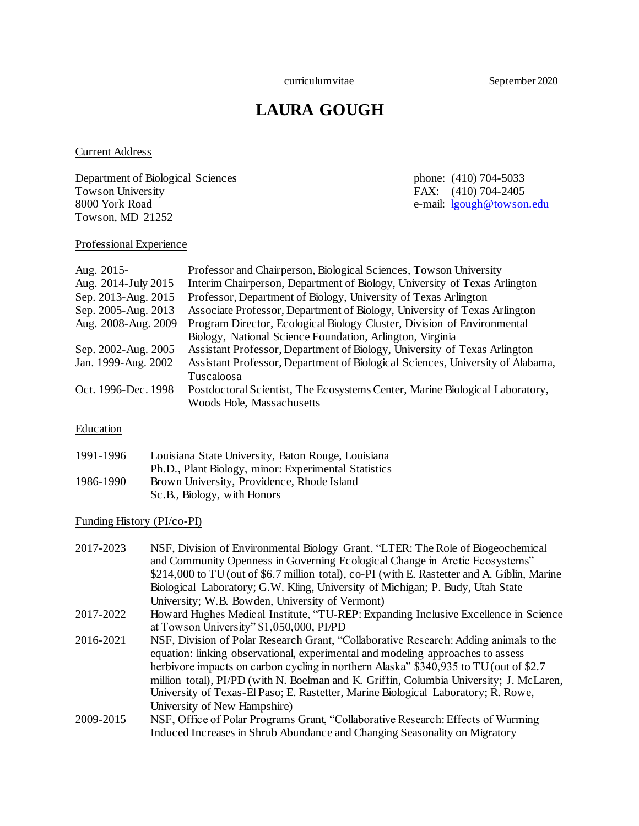curriculum vitae September 2020

# **LAURA GOUGH**

# Current Address

Department of Biological Sciences phone: (410) 704-5033 Towson University Towson University FAX: (410) 704-2405 8000 York Road e-mail: [lgough@towson.edu](mailto:lgough@towson.edu) Towson, MD 21252

# Professional Experience

| Aug. 2015-          | Professor and Chairperson, Biological Sciences, Towson University              |
|---------------------|--------------------------------------------------------------------------------|
| Aug. 2014-July 2015 | Interim Chairperson, Department of Biology, University of Texas Arlington      |
| Sep. 2013-Aug. 2015 | Professor, Department of Biology, University of Texas Arlington                |
| Sep. 2005-Aug. 2013 | Associate Professor, Department of Biology, University of Texas Arlington      |
| Aug. 2008-Aug. 2009 | Program Director, Ecological Biology Cluster, Division of Environmental        |
|                     | Biology, National Science Foundation, Arlington, Virginia                      |
| Sep. 2002-Aug. 2005 | Assistant Professor, Department of Biology, University of Texas Arlington      |
| Jan. 1999-Aug. 2002 | Assistant Professor, Department of Biological Sciences, University of Alabama, |
|                     | Tuscaloosa                                                                     |
| Oct. 1996-Dec. 1998 | Postdoctoral Scientist, The Ecosystems Center, Marine Biological Laboratory,   |
|                     | Woods Hole, Massachusetts                                                      |

**Education** 

| 1991-1996 | Louisiana State University, Baton Rouge, Louisiana   |
|-----------|------------------------------------------------------|
|           | Ph.D., Plant Biology, minor: Experimental Statistics |
| 1986-1990 | Brown University, Providence, Rhode Island           |
|           | Sc.B., Biology, with Honors                          |

### Funding History (PI/co-PI)

| 2017-2023 | NSF, Division of Environmental Biology Grant, "LTER: The Role of Biogeochemical              |
|-----------|----------------------------------------------------------------------------------------------|
|           | and Community Openness in Governing Ecological Change in Arctic Ecosystems"                  |
|           | \$214,000 to TU (out of \$6.7 million total), co-PI (with E. Rastetter and A. Giblin, Marine |
|           | Biological Laboratory; G.W. Kling, University of Michigan; P. Budy, Utah State               |
|           | University; W.B. Bowden, University of Vermont)                                              |
| 2017-2022 | How ard Hughes Medical Institute, "TU-REP: Expanding Inclusive Excellence in Science         |
|           | at Towson University" \$1,050,000, PI/PD                                                     |
| 2016-2021 | NSF, Division of Polar Research Grant, "Collaborative Research: Adding animals to the        |
|           | equation: linking observational, experimental and modeling approaches to assess              |
|           | herbivore impacts on carbon cycling in northern Alaska" \$340,935 to TU (out of \$2.7)       |
|           | million total), PI/PD (with N. Boelman and K. Griffin, Columbia University; J. McLaren,      |
|           | University of Texas-El Paso; E. Rastetter, Marine Biological Laboratory; R. Rowe,            |
|           | University of New Hampshire)                                                                 |
| 2009-2015 | NSF, Office of Polar Programs Grant, "Collaborative Research: Effects of Warming             |
|           | Induced Increases in Shrub Abundance and Changing Seasonality on Migratory                   |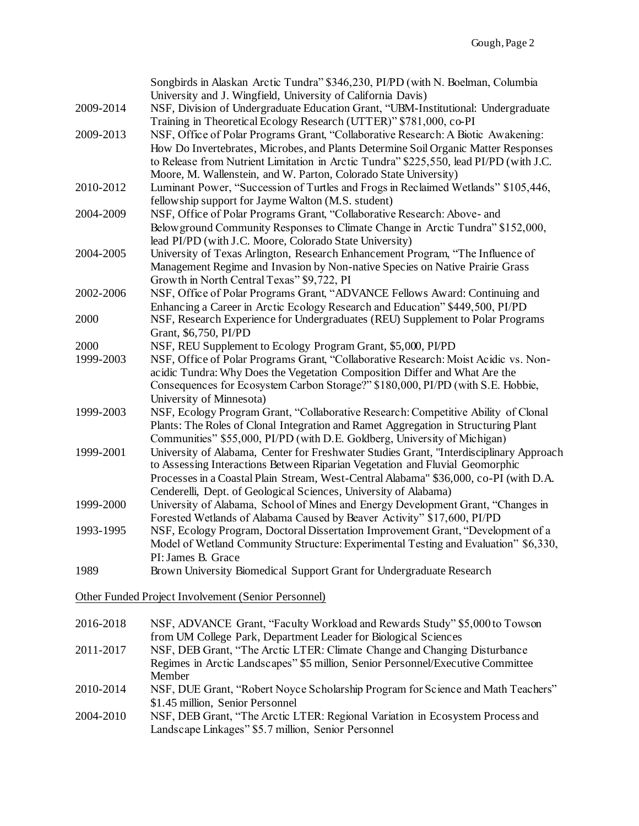| 2011-2017         | from UM College Park, Department Leader for Biological Sciences<br>NSF, DEB Grant, "The Arctic LTER: Climate Change and Changing Disturbance                                                                                                                                                                                           |
|-------------------|----------------------------------------------------------------------------------------------------------------------------------------------------------------------------------------------------------------------------------------------------------------------------------------------------------------------------------------|
| 2016-2018         | Other Funded Project Involvement (Senior Personnel)<br>NSF, ADVANCE Grant, "Faculty Workload and Rewards Study" \$5,000 to Towson                                                                                                                                                                                                      |
|                   |                                                                                                                                                                                                                                                                                                                                        |
| 1989              | Model of Wetland Community Structure: Experimental Testing and Evaluation" \$6,330,<br>PI: James B. Grace<br>Brown University Biomedical Support Grant for Undergraduate Research                                                                                                                                                      |
| 1993-1995         | Forested Wetlands of Alabama Caused by Beaver Activity" \$17,600, PI/PD<br>NSF, Ecology Program, Doctoral Dissertation Improvement Grant, "Development of a                                                                                                                                                                            |
| 1999-2000         | to Assessing Interactions Between Riparian Vegetation and Fluvial Geomorphic<br>Processes in a Coastal Plain Stream, West-Central Alabama" \$36,000, co-PI (with D.A.<br>Cenderelli, Dept. of Geological Sciences, University of Alabama)<br>University of Alabama, School of Mines and Energy Development Grant, "Changes in          |
| 1999-2001         | Plants: The Roles of Clonal Integration and Ramet Aggregation in Structuring Plant<br>Communities" \$55,000, PI/PD (with D.E. Goldberg, University of Michigan)<br>University of Alabama, Center for Freshwater Studies Grant, "Interdisciplinary Approach                                                                             |
| 1999-2003         | acidic Tundra: Why Does the Vegetation Composition Differ and What Are the<br>Consequences for Ecosystem Carbon Storage?" \$180,000, PI/PD (with S.E. Hobbie,<br>University of Minnesota)<br>NSF, Ecology Program Grant, "Collaborative Research: Competitive Ability of Clonal                                                        |
| 2000<br>1999-2003 | NSF, REU Supplement to Ecology Program Grant, \$5,000, PI/PD<br>NSF, Office of Polar Programs Grant, "Collaborative Research: Moist Acidic vs. Non-                                                                                                                                                                                    |
| 2000              | NSF, Research Experience for Undergraduates (REU) Supplement to Polar Programs<br>Grant, \$6,750, PI/PD                                                                                                                                                                                                                                |
| 2002-2006         | Growth in North Central Texas" \$9,722, PI<br>NSF, Office of Polar Programs Grant, "ADVANCE Fellows Award: Continuing and<br>Enhancing a Career in Arctic Ecology Research and Education" \$449,500, PI/PD                                                                                                                             |
| 2004-2005         | Below ground Community Responses to Climate Change in Arctic Tundra" \$152,000,<br>lead PI/PD (with J.C. Moore, Colorado State University)<br>University of Texas Arlington, Research Enhancement Program, "The Influence of<br>Management Regime and Invasion by Non-native Species on Native Prairie Grass                           |
| 2004-2009         | fellowship support for Jayme Walton (M.S. student)<br>NSF, Office of Polar Programs Grant, "Collaborative Research: Above- and                                                                                                                                                                                                         |
| 2010-2012         | How Do Invertebrates, Microbes, and Plants Determine Soil Organic Matter Responses<br>to Release from Nutrient Limitation in Arctic Tundra" \$225,550, lead PI/PD (with J.C.<br>Moore, M. Wallenstein, and W. Parton, Colorado State University)<br>Luminant Power, "Succession of Turtles and Frogs in Reclaimed Wetlands" \$105,446, |
| 2009-2013         | NSF, Office of Polar Programs Grant, "Collaborative Research: A Biotic Awakening:                                                                                                                                                                                                                                                      |
| 2009-2014         | University and J. Wingfield, University of California Davis)<br>NSF, Division of Undergraduate Education Grant, "UBM-Institutional: Undergraduate<br>Training in Theoretical Ecology Research (UTTER)" \$781,000, co-PI                                                                                                                |
|                   | Songbirds in Alaskan Arctic Tundra" \$346,230, PI/PD (with N. Boelman, Columbia                                                                                                                                                                                                                                                        |

Regimes in Arctic Landscapes" \$5 million, Senior Personnel/Executive Committee Member

2010-2014 NSF, DUE Grant, "Robert Noyce Scholarship Program for Science and Math Teachers" \$1.45 million, Senior Personnel

2004-2010 NSF, DEB Grant, "The Arctic LTER: Regional Variation in Ecosystem Process and Landscape Linkages" \$5.7 million, Senior Personnel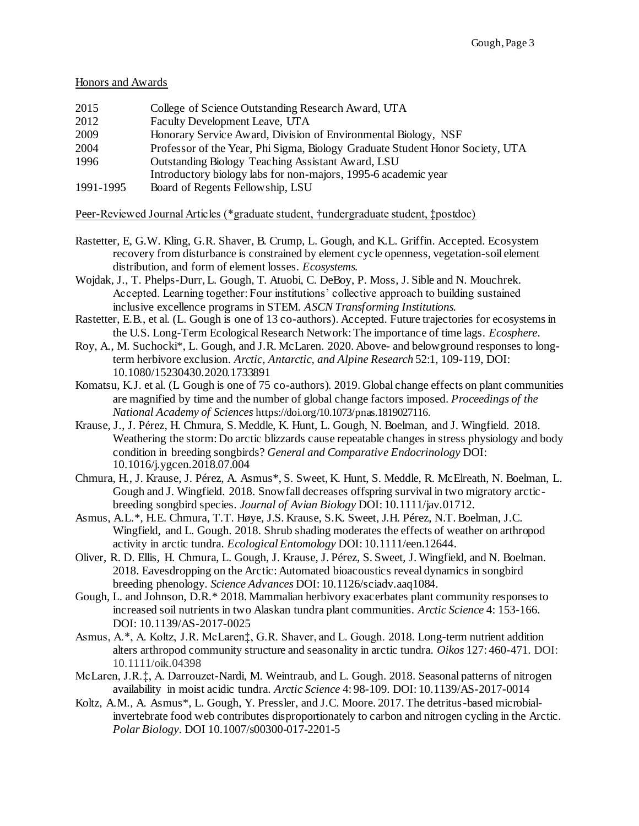#### Honors and Awards

| College of Science Outstanding Research Award, UTA |
|----------------------------------------------------|
|                                                    |

- 2012 Faculty Development Leave, UTA
- 2009 Honorary Service Award, Division of Environmental Biology, NSF
- 2004 Professor of the Year, Phi Sigma, Biology Graduate Student Honor Society, UTA
- 1996 Outstanding Biology Teaching Assistant Award, LSU
- Introductory biology labs for non-majors, 1995-6 academic year
- 1991-1995 Board of Regents Fellowship, LSU

# Peer-Reviewed Journal Articles (\*graduate student, †undergraduate student, ‡postdoc)

- Rastetter, E, G.W. Kling, G.R. Shaver, B. Crump, L. Gough, and K.L. Griffin. Accepted. Ecosystem recovery from disturbance is constrained by element cycle openness, vegetation-soil element distribution, and form of element losses. *Ecosystems.*
- Wojdak, J., T. Phelps-Durr, L. Gough, T. Atuobi, C. DeBoy, P. Moss, J. Sible and N. Mouchrek. Accepted. Learning together: Four institutions' collective approach to building sustained inclusive excellence programs in STEM. *ASCN Transforming Institutions.*
- Rastetter, E.B., et al. (L. Gough is one of 13 co-authors). Accepted. Future trajectories for ecosystems in the U.S. Long-Term Ecological Research Network: The importance of time lags. *Ecosphere*.
- Roy, A., M. Suchocki\*, L. Gough, and J.R. McLaren. 2020. Above- and belowground responses to longterm herbivore exclusion. *Arctic, Antarctic, and Alpine Research* 52:1, 109-119, DOI: 10.1080/15230430.2020.1733891
- Komatsu, K.J. et al. (L Gough is one of 75 co-authors). 2019. Global change effects on plant communities are magnified by time and the number of global change factors imposed. *Proceedings of the National Academy of Sciences* https://doi.org/10.1073/pnas.1819027116.
- Krause, J., J. Pérez, H. Chmura, S. Meddle, K. Hunt, L. Gough, N. Boelman, and J. Wingfield. 2018. Weathering the storm: Do arctic blizzards cause repeatable changes in stress physiology and body condition in breeding songbirds? *General and Comparative Endocrinology* DOI: 10.1016/j.ygcen.2018.07.004
- Chmura, H., J. Krause, J. Pérez, A. Asmus\*, S. Sweet, K. Hunt, S. Meddle, R. McElreath, N. Boelman, L. Gough and J. Wingfield. 2018. Snowfall decreases offspring survival in two migratory arcticbreeding songbird species. *Journal of Avian Biology* DOI: 10.1111/jav.01712.
- Asmus, A.L.\*, H.E. Chmura, T.T. Høye, J.S. Krause, S.K. Sweet, J.H. Pérez, N.T. Boelman, J.C. Wingfield, and L. Gough. 2018. Shrub shading moderates the effects of weather on arthropod activity in arctic tundra. *Ecological Entomology* DOI: 10.1111/een.12644.
- Oliver, R. D. Ellis, H. Chmura, L. Gough, J. Krause, J. Pérez, S. Sweet, J. Wingfield, and N. Boelman. 2018. Eavesdropping on the Arctic: Automated bioacoustics reveal dynamics in songbird breeding phenology. *Science Advances* DOI: 10.1126/sciadv.aaq1084.
- Gough, L. and Johnson, D.R.\* 2018. Mammalian herbivory exacerbates plant community responses to increased soil nutrients in two Alaskan tundra plant communities. *Arctic Science* 4: 153-166. DOI: 10.1139/AS-2017-0025
- Asmus, A.\*, A. Koltz, J.R. McLaren‡, G.R. Shaver, and L. Gough. 2018. Long-term nutrient addition alters arthropod community structure and seasonality in arctic tundra. *Oikos* 127: 460-471*.* DOI: 10.1111/oik.04398
- McLaren, J.R.‡, A. Darrouzet-Nardi, M. Weintraub, and L. Gough. 2018. Seasonal patterns of nitrogen availability in moist acidic tundra. *Arctic Science* 4: 98-109. DOI: 10.1139/AS-2017-0014
- Koltz, A.M., A. Asmus\*, L. Gough, Y. Pressler, and J.C. Moore. 2017. The detritus-based microbialinvertebrate food web contributes disproportionately to carbon and nitrogen cycling in the Arctic. *Polar Biology*. DOI 10.1007/s00300-017-2201-5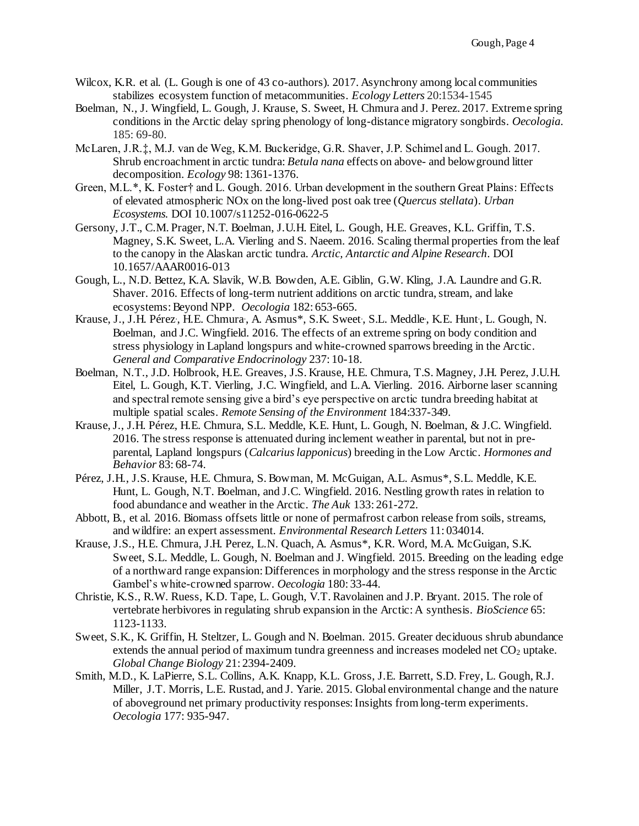- Wilcox, K.R. et al. (L. Gough is one of 43 co-authors). 2017. Asynchrony among local communities stabilizes ecosystem function of metacommunities. *Ecology Letters* 20:1534-1545
- Boelman, N., J. Wingfield, L. Gough, J. Krause, S. Sweet, H. Chmura and J. Perez. 2017. Extreme spring conditions in the Arctic delay spring phenology of long-distance migratory songbirds. *Oecologia.*  185: 69-80.
- McLaren, J.R.‡, M.J. van de Weg, K.M. Buckeridge, G.R. Shaver, J.P. Schimel and L. Gough. 2017. Shrub encroachment in arctic tundra: *Betula nana* effects on above- and belowground litter decomposition. *Ecology* 98: 1361-1376.
- Green, M.L.\*, K. Foster† and L. Gough. 2016. Urban development in the southern Great Plains: Effects of elevated atmospheric NOx on the long-lived post oak tree (*Quercus stellata*). *Urban Ecosystems.* DOI 10.1007/s11252-016-0622-5
- Gersony, J.T., C.M. Prager, N.T. Boelman, J.U.H. Eitel, L. Gough, H.E. Greaves, K.L. Griffin, T.S. Magney, S.K. Sweet, L.A. Vierling and S. Naeem. 2016. Scaling thermal properties from the leaf to the canopy in the Alaskan arctic tundra. *Arctic, Antarctic and Alpine Research*. DOI 10.1657/AAAR0016-013
- Gough, L., N.D. Bettez, K.A. Slavik, W.B. Bowden, A.E. Giblin, G.W. Kling, J.A. Laundre and G.R. Shaver. 2016. Effects of long-term nutrient additions on arctic tundra, stream, and lake ecosystems: Beyond NPP. *Oecologia* 182: 653-665.
- Krause, J., J.H. Pérez<sup>.</sup>, H.E. Chmura., A. Asmus\*, S.K. Sweet., S.L. Meddle., K.E. Hunt., L. Gough, N. Boelman, and J.C. Wingfield. 2016. The effects of an extreme spring on body condition and stress physiology in Lapland longspurs and white-crowned sparrows breeding in the Arctic. *General and Comparative Endocrinology* 237: 10-18.
- Boelman, N.T., J.D. Holbrook, H.E. Greaves, J.S. Krause, H.E. Chmura, T.S. Magney, J.H. Perez, J.U.H. Eitel, L. Gough, K.T. Vierling, J.C. Wingfield, and L.A. Vierling. 2016. Airborne laser scanning and spectral remote sensing give a bird's eye perspective on arctic tundra breeding habitat at multiple spatial scales. *Remote Sensing of the Environment* 184:337-349.
- Krause,J., J.H. Pérez, H.E. Chmura, S.L. Meddle, K.E. Hunt, L. Gough, N. Boelman, & J.C. Wingfield. 2016. The stress response is attenuated during inclement weather in parental, but not in preparental, Lapland longspurs (*Calcarius lapponicus*) breeding in the Low Arctic. *Hormones and Behavior* 83: 68-74.
- Pérez, J.H., J.S. Krause, H.E. Chmura, S. Bowman, M. McGuigan, A.L. Asmus\*, S.L. Meddle, K.E. Hunt, L. Gough, N.T. Boelman, and J.C. Wingfield. 2016. Nestling growth rates in relation to food abundance and weather in the Arctic. *The Auk* 133: 261-272.
- Abbott, B., et al. 2016. Biomass offsets little or none of permafrost carbon release from soils, streams, and wildfire: an expert assessment. *Environmental Research Letters* 11: 034014.
- Krause, J.S., H.E. Chmura, J.H. Perez, L.N. Quach, A. Asmus\*, K.R. Word, M.A. McGuigan, S.K. Sweet, S.L. Meddle, L. Gough, N. Boelman and J. Wingfield. 2015. Breeding on the leading edge of a northward range expansion: Differences in morphology and the stress response in the Arctic Gambel's white-crowned sparrow. *Oecologia* 180: 33-44.
- Christie, K.S., R.W. Ruess, K.D. Tape, L. Gough, V.T. Ravolainen and J.P. Bryant. 2015. The role of vertebrate herbivores in regulating shrub expansion in the Arctic: A synthesis. *BioScience* 65: 1123-1133.
- Sweet, S.K., K. Griffin, H. Steltzer, L. Gough and N. Boelman. 2015. Greater deciduous shrub abundance extends the annual period of maximum tundra greenness and increases modeled net  $CO<sub>2</sub>$  uptake. *Global Change Biology* 21: 2394-2409.
- Smith, M.D., K. LaPierre, S.L. Collins, A.K. Knapp, K.L. Gross, J.E. Barrett, S.D. Frey, L. Gough, R.J. Miller, J.T. Morris, L.E. Rustad, and J. Yarie. 2015. Global environmental change and the nature of aboveground net primary productivity responses: Insights from long-term experiments. *Oecologia* 177: 935-947.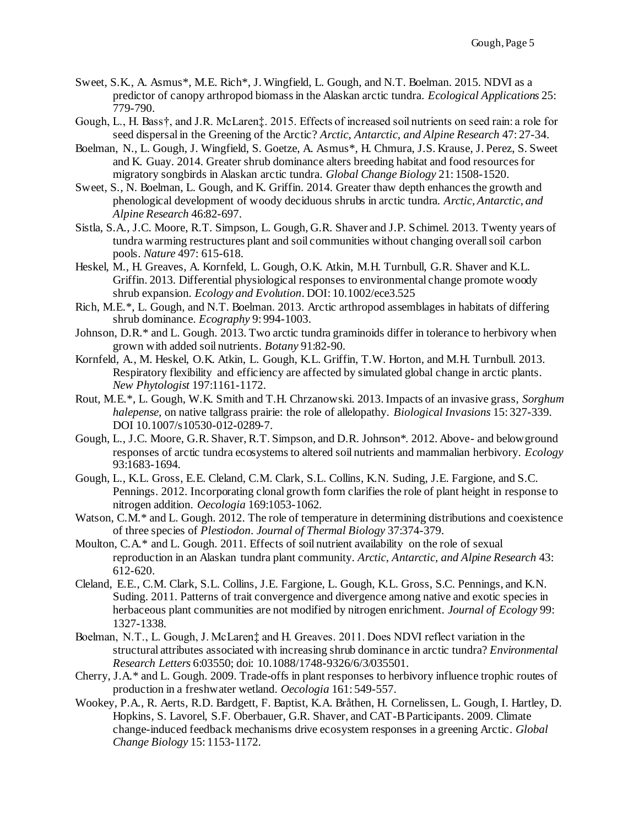- Sweet, S.K., A. Asmus\*, M.E. Rich\*, J. Wingfield, L. Gough, and N.T. Boelman. 2015. NDVI as a predictor of canopy arthropod biomass in the Alaskan arctic tundra. *Ecological Applications* 25: 779-790.
- Gough, L., H. Bass†, and J.R. McLaren‡. 2015. Effects of increased soil nutrients on seed rain: a role for seed dispersal in the Greening of the Arctic? *Arctic, Antarctic, and Alpine Research* 47: 27-34.
- Boelman, N., L. Gough, J. Wingfield, S. Goetze, A. Asmus\*, H. Chmura, J.S. Krause, J. Perez, S. Sweet and K. Guay. 2014. Greater shrub dominance alters breeding habitat and food resources for migratory songbirds in Alaskan arctic tundra. *Global Change Biology* 21: 1508-1520.
- Sweet, S., N. Boelman, L. Gough, and K. Griffin. 2014. Greater thaw depth enhances the growth and phenological development of woody deciduous shrubs in arctic tundra. *Arctic, Antarctic, and Alpine Research* 46:82-697.
- Sistla, S.A., J.C. Moore, R.T. Simpson, L. Gough, G.R. Shaver and J.P. Schimel. 2013. Twenty years of tundra warming restructures plant and soil communities without changing overall soil carbon pools. *Nature* 497: 615-618.
- Heskel, M., H. Greaves, A. Kornfeld, L. Gough, O.K. Atkin, M.H. Turnbull, G.R. Shaver and K.L. Griffin. 2013. Differential physiological responses to environmental change promote woody shrub expansion. *Ecology and Evolution*. DOI: 10.1002/ece3.525
- Rich, M.E.\*, L. Gough, and N.T. Boelman. 2013. Arctic arthropod assemblages in habitats of differing shrub dominance. *Ecography* 9: 994-1003.
- Johnson, D.R.\* and L. Gough. 2013. Two arctic tundra graminoids differ in tolerance to herbivory when grown with added soil nutrients. *Botany* 91:82-90.
- Kornfeld, A., M. Heskel, O.K. Atkin, L. Gough, K.L. Griffin, T.W. Horton, and M.H. Turnbull. 2013. Respiratory flexibility and efficiency are affected by simulated global change in arctic plants. *New Phytologist* 197:1161-1172.
- Rout, M.E.\*, L. Gough, W.K. Smith and T.H. Chrzanowski. 2013. Impacts of an invasive grass, *Sorghum halepense,* on native tallgrass prairie: the role of allelopathy. *Biological Invasions* 15: 327-339. DOI 10.1007/s10530-012-0289-7.
- Gough, L., J.C. Moore, G.R. Shaver, R.T. Simpson, and D.R. Johnson\*. 2012. Above- and belowground responses of arctic tundra ecosystems to altered soil nutrients and mammalian herbivory. *Ecology*  93:1683-1694*.*
- Gough, L., K.L. Gross, E.E. Cleland, C.M. Clark, S.L. Collins, K.N. Suding, J.E. Fargione, and S.C. Pennings. 2012. Incorporating clonal growth form clarifies the role of plant height in response to nitrogen addition. *Oecologia* 169:1053-1062*.*
- Watson, C.M.<sup>\*</sup> and L. Gough. 2012. The role of temperature in determining distributions and coexistence of three species of *Plestiodon*. *Journal of Thermal Biology* 37:374-379.
- Moulton, C.A.\* and L. Gough. 2011. Effects of soil nutrient availability on the role of sexual reproduction in an Alaskan tundra plant community. *Arctic, Antarctic, and Alpine Research* 43: 612-620.
- Cleland, E.E., C.M. Clark, S.L. Collins, J.E. Fargione, L. Gough, K.L. Gross, S.C. Pennings, and K.N. Suding. 2011. Patterns of trait convergence and divergence among native and exotic species in herbaceous plant communities are not modified by nitrogen enrichment. *Journal of Ecology* 99: 1327-1338*.*
- Boelman, N.T., L. Gough, J. McLaren‡ and H. Greaves. 2011. Does NDVI reflect variation in the structural attributes associated with increasing shrub dominance in arctic tundra? *Environmental Research Letters* 6:03550; doi: 10.1088/1748-9326/6/3/035501.
- Cherry, J.A.\* and L. Gough. 2009. Trade-offs in plant responses to herbivory influence trophic routes of production in a freshwater wetland. *Oecologia* 161: 549-557.
- Wookey, P.A., R. Aerts, R.D. Bardgett, F. Baptist, K.A. Bråthen, H. Cornelissen, L. Gough, I. Hartley, D. Hopkins, S. Lavorel, S.F. Oberbauer, G.R. Shaver, and CAT-B Participants. 2009. Climate change-induced feedback mechanisms drive ecosystem responses in a greening Arctic. *Global Change Biology* 15: 1153-1172.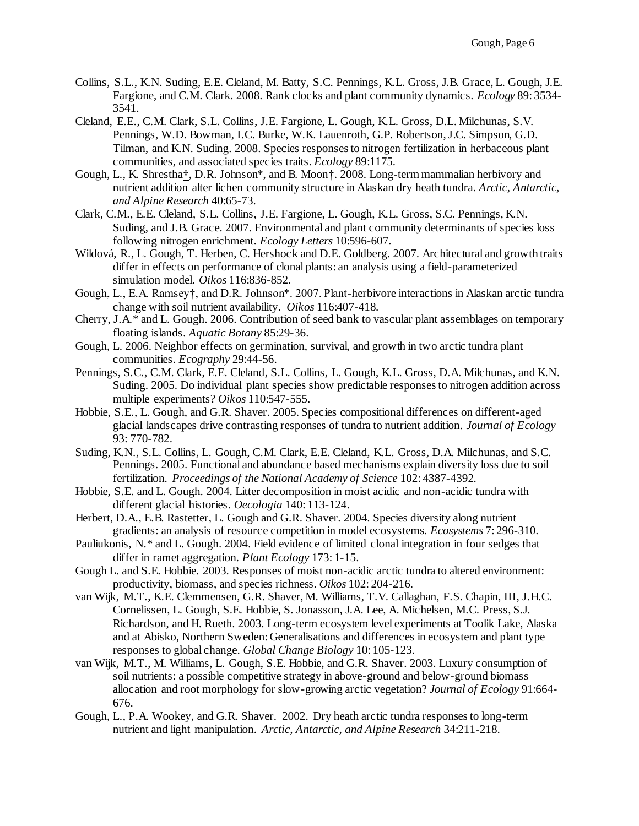- Collins, S.L., K.N. Suding, E.E. Cleland, M. Batty, S.C. Pennings, K.L. Gross, J.B. Grace, L. Gough, J.E. Fargione, and C.M. Clark. 2008. Rank clocks and plant community dynamics. *Ecology* 89: 3534- 3541.
- Cleland, E.E., C.M. Clark, S.L. Collins, J.E. Fargione, L. Gough, K.L. Gross, D.L. Milchunas, S.V. Pennings, W.D. Bowman, I.C. Burke, W.K. Lauenroth, G.P. Robertson, J.C. Simpson, G.D. Tilman, and K.N. Suding. 2008. Species responses to nitrogen fertilization in herbaceous plant communities, and associated species traits. *Ecology* 89:1175.
- Gough, L., K. Shrestha†, D.R. Johnson\*, and B. Moon†. 2008. Long-term mammalian herbivory and nutrient addition alter lichen community structure in Alaskan dry heath tundra. *Arctic, Antarctic, and Alpine Research* 40:65-73.
- Clark, C.M., E.E. Cleland, S.L. Collins, J.E. Fargione, L. Gough, K.L. Gross, S.C. Pennings, K.N. Suding, and J.B. Grace. 2007. Environmental and plant community determinants of species loss following nitrogen enrichment. *Ecology Letters* 10:596-607.
- Wildová, R., L. Gough, T. Herben, C. Hershock and D.E. Goldberg. 2007. Architectural and growth traits differ in effects on performance of clonal plants: an analysis using a field-parameterized simulation model. *Oikos* 116:836-852*.*
- Gough, L., E.A. Ramsey†, and D.R. Johnson\*. 2007. Plant-herbivore interactions in Alaskan arctic tundra change with soil nutrient availability. *Oikos* 116:407-418*.*
- Cherry, J.A.\* and L. Gough. 2006. Contribution of seed bank to vascular plant assemblages on temporary floating islands. *Aquatic Botany* 85:29-36.
- Gough, L. 2006. Neighbor effects on germination, survival, and growth in two arctic tundra plant communities. *Ecography* 29:44-56.
- Pennings, S.C., C.M. Clark, E.E. Cleland, S.L. Collins, L. Gough, K.L. Gross, D.A. Milchunas, and K.N. Suding. 2005. Do individual plant species show predictable responses to nitrogen addition across multiple experiments? *Oikos* 110:547-555.
- Hobbie, S.E., L. Gough, and G.R. Shaver. 2005. Species compositional differences on different-aged glacial landscapes drive contrasting responses of tundra to nutrient addition. *Journal of Ecology*  93: 770-782.
- Suding, K.N., S.L. Collins, L. Gough, C.M. Clark, E.E. Cleland, K.L. Gross, D.A. Milchunas, and S.C. Pennings. 2005. Functional and abundance based mechanisms explain diversity loss due to soil fertilization. *Proceedings of the National Academy of Science* 102: 4387-4392*.*
- Hobbie, S.E. and L. Gough. 2004. Litter decomposition in moist acidic and non-acidic tundra with different glacial histories. *Oecologia* 140: 113-124.
- Herbert, D.A., E.B. Rastetter, L. Gough and G.R. Shaver. 2004. Species diversity along nutrient gradients: an analysis of resource competition in model ecosystems. *Ecosystems* 7: 296-310.
- Pauliukonis, N.\* and L. Gough. 2004. Field evidence of limited clonal integration in four sedges that differ in ramet aggregation. *Plant Ecology* 173: 1-15.
- Gough L. and S.E. Hobbie. 2003. Responses of moist non-acidic arctic tundra to altered environment: productivity, biomass, and species richness. *Oikos* 102: 204-216.
- van Wijk, M.T., K.E. Clemmensen, G.R. Shaver, M. Williams, T.V. Callaghan, F.S. Chapin, III, J.H.C. Cornelissen, L. Gough, S.E. Hobbie, S. Jonasson, J.A. Lee, A. Michelsen, M.C. Press, S.J. Richardson, and H. Rueth. 2003. Long-term ecosystem level experiments at Toolik Lake, Alaska and at Abisko, Northern Sweden: Generalisations and differences in ecosystem and plant type responses to global change. *Global Change Biology* 10: 105-123.
- van Wijk, M.T., M. Williams, L. Gough, S.E. Hobbie, and G.R. Shaver. 2003. Luxury consumption of soil nutrients: a possible competitive strategy in above-ground and below-ground biomass allocation and root morphology for slow-growing arctic vegetation? *Journal of Ecology* 91:664- 676.
- Gough, L., P.A. Wookey, and G.R. Shaver. 2002. Dry heath arctic tundra responses to long-term nutrient and light manipulation. *Arctic, Antarctic, and Alpine Research* 34:211-218.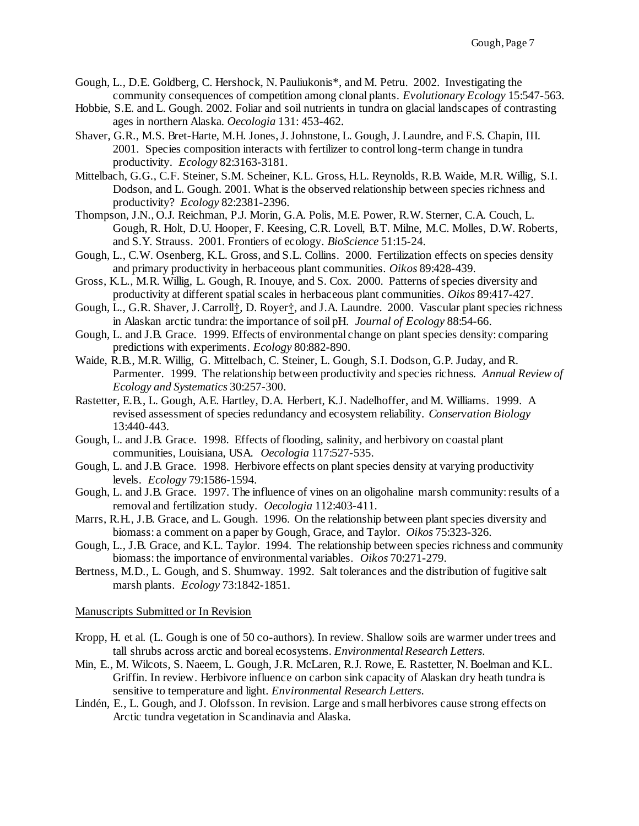- Gough, L., D.E. Goldberg, C. Hershock, N. Pauliukonis\*, and M. Petru. 2002. Investigating the community consequences of competition among clonal plants. *Evolutionary Ecology* 15:547-563.
- Hobbie, S.E. and L. Gough. 2002. Foliar and soil nutrients in tundra on glacial landscapes of contrasting ages in northern Alaska. *Oecologia* 131: 453-462.
- Shaver, G.R., M.S. Bret-Harte, M.H. Jones, J. Johnstone, L. Gough, J. Laundre, and F.S. Chapin, III. 2001. Species composition interacts with fertilizer to control long-term change in tundra productivity. *Ecology* 82:3163-3181.
- Mittelbach, G.G., C.F. Steiner, S.M. Scheiner, K.L. Gross, H.L. Reynolds, R.B. Waide, M.R. Willig, S.I. Dodson, and L. Gough. 2001. What is the observed relationship between species richness and productivity? *Ecology* 82:2381-2396.
- Thompson, J.N., O.J. Reichman, P.J. Morin, G.A. Polis, M.E. Power, R.W. Sterner, C.A. Couch, L. Gough, R. Holt, D.U. Hooper, F. Keesing, C.R. Lovell, B.T. Milne, M.C. Molles, D.W. Roberts, and S.Y. Strauss. 2001. Frontiers of ecology. *BioScience* 51:15-24.
- Gough, L., C.W. Osenberg, K.L. Gross, and S.L. Collins. 2000. Fertilization effects on species density and primary productivity in herbaceous plant communities. *Oikos* 89:428-439.
- Gross, K.L., M.R. Willig, L. Gough, R. Inouye, and S. Cox. 2000. Patterns of species diversity and productivity at different spatial scales in herbaceous plant communities. *Oikos* 89:417-427.
- Gough, L., G.R. Shaver, J. Carroll†, D. Royer†, and J.A. Laundre. 2000. Vascular plant species richness in Alaskan arctic tundra: the importance of soil pH. *Journal of Ecology* 88:54-66.
- Gough, L. and J.B. Grace. 1999. Effects of environmental change on plant species density: comparing predictions with experiments. *Ecology* 80:882-890.
- Waide, R.B., M.R. Willig, G. Mittelbach, C. Steiner, L. Gough, S.I. Dodson, G.P. Juday, and R. Parmenter. 1999. The relationship between productivity and species richness. *Annual Review of Ecology and Systematics* 30:257-300.
- Rastetter, E.B., L. Gough, A.E. Hartley, D.A. Herbert, K.J. Nadelhoffer, and M. Williams. 1999. A revised assessment of species redundancy and ecosystem reliability. *Conservation Biology* 13:440-443.
- Gough, L. and J.B. Grace. 1998. Effects of flooding, salinity, and herbivory on coastal plant communities, Louisiana, USA. *Oecologia* 117:527-535.
- Gough, L. and J.B. Grace. 1998. Herbivore effects on plant species density at varying productivity levels. *Ecology* 79:1586-1594.
- Gough, L. and J.B. Grace. 1997. The influence of vines on an oligohaline marsh community: results of a removal and fertilization study. *Oecologia* 112:403-411.
- Marrs, R.H., J.B. Grace, and L. Gough. 1996. On the relationship between plant species diversity and biomass: a comment on a paper by Gough, Grace, and Taylor. *Oikos* 75:323-326.
- Gough, L., J.B. Grace, and K.L. Taylor. 1994. The relationship between species richness and community biomass: the importance of environmental variables. *Oikos* 70:271-279.
- Bertness, M.D., L. Gough, and S. Shumway. 1992. Salt tolerances and the distribution of fugitive salt marsh plants. *Ecology* 73:1842-1851.

#### Manuscripts Submitted or In Revision

- Kropp, H. et al. (L. Gough is one of 50 co-authors). In review. Shallow soils are warmer under trees and tall shrubs across arctic and boreal ecosystems. *Environmental Research Letters*.
- Min, E., M. Wilcots, S. Naeem, L. Gough, J.R. McLaren, R.J. Rowe, E. Rastetter, N. Boelman and K.L. Griffin. In review. Herbivore influence on carbon sink capacity of Alaskan dry heath tundra is sensitive to temperature and light. *Environmental Research Letters*.
- Lindén, E., L. Gough, and J. Olofsson. In revision. Large and small herbivores cause strong effects on Arctic tundra vegetation in Scandinavia and Alaska.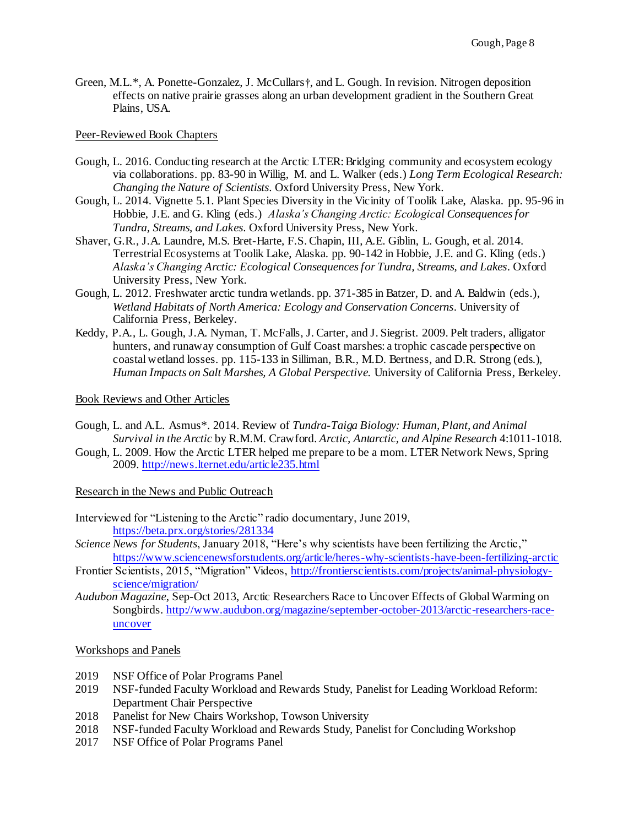Green, M.L.\*, A. Ponette-Gonzalez, J. McCullars†, and L. Gough. In revision. Nitrogen deposition effects on native prairie grasses along an urban development gradient in the Southern Great Plains, USA.

### Peer-Reviewed Book Chapters

- Gough, L. 2016. Conducting research at the Arctic LTER: Bridging community and ecosystem ecology via collaborations. pp. 83-90 in Willig, M. and L. Walker (eds.) *Long Term Ecological Research: Changing the Nature of Scientists*. Oxford University Press, New York.
- Gough, L. 2014. Vignette 5.1. Plant Species Diversity in the Vicinity of Toolik Lake, Alaska. pp. 95-96 in Hobbie, J.E. and G. Kling (eds.) *Alaska's Changing Arctic: Ecological Consequences for Tundra, Streams, and Lakes*. Oxford University Press, New York.
- Shaver, G.R., J.A. Laundre, M.S. Bret-Harte, F.S. Chapin, III, A.E. Giblin, L. Gough, et al. 2014. Terrestrial Ecosystems at Toolik Lake, Alaska. pp. 90-142 in Hobbie, J.E. and G. Kling (eds.) *Alaska's Changing Arctic: Ecological Consequences for Tundra, Streams, and Lakes*. Oxford University Press, New York.
- Gough, L. 2012. Freshwater arctic tundra wetlands. pp. 371-385 in Batzer, D. and A. Baldwin (eds.), *Wetland Habitats of North America: Ecology and Conservation Concerns*. University of California Press, Berkeley.
- Keddy, P.A., L. Gough, J.A. Nyman, T. McFalls, J. Carter, and J. Siegrist. 2009. Pelt traders, alligator hunters, and runaway consumption of Gulf Coast marshes: a trophic cascade perspective on coastal wetland losses. pp. 115-133 in Silliman, B.R., M.D. Bertness, and D.R. Strong (eds.), *Human Impacts on Salt Marshes, A Global Perspective.* University of California Press, Berkeley.

Book Reviews and Other Articles

- Gough, L. and A.L. Asmus\*. 2014. Review of *Tundra-Taiga Biology: Human, Plant, and Animal Survival in the Arctic* by R.M.M. Crawford. *Arctic, Antarctic, and Alpine Research* 4:1011-1018.
- Gough, L. 2009. How the Arctic LTER helped me prepare to be a mom. LTER Network News, Spring 2009[. http://news.lternet.edu/article235.html](http://news.lternet.edu/article235.html)

Research in the News and Public Outreach

- Interviewed for "Listening to the Arctic" radio documentary, June 2019, <https://beta.prx.org/stories/281334>
- *Science News for Students*, January 2018, "Here's why scientists have been fertilizing the Arctic," <https://www.sciencenewsforstudents.org/article/heres-why-scientists-have-been-fertilizing-arctic>
- Frontier Scientists, 2015, "Migration" Videos, [http://frontierscientists.com/projects/animal-physiology](http://frontierscientists.com/projects/animal-physiology-science/migration/)[science/migration/](http://frontierscientists.com/projects/animal-physiology-science/migration/)
- *Audubon Magazine*, Sep-Oct 2013, Arctic Researchers Race to Uncover Effects of Global Warming on Songbirds[. http://www.audubon.org/magazine/september-october-2013/arctic-researchers-race](http://www.audubon.org/magazine/september-october-2013/arctic-researchers-race-uncover)[uncover](http://www.audubon.org/magazine/september-october-2013/arctic-researchers-race-uncover)

#### Workshops and Panels

- 2019 NSF Office of Polar Programs Panel
- 2019 NSF-funded Faculty Workload and Rewards Study, Panelist for Leading Workload Reform: Department Chair Perspective
- 2018 Panelist for New Chairs Workshop, Towson University
- 2018 NSF-funded Faculty Workload and Rewards Study, Panelist for Concluding Workshop
- 2017 NSF Office of Polar Programs Panel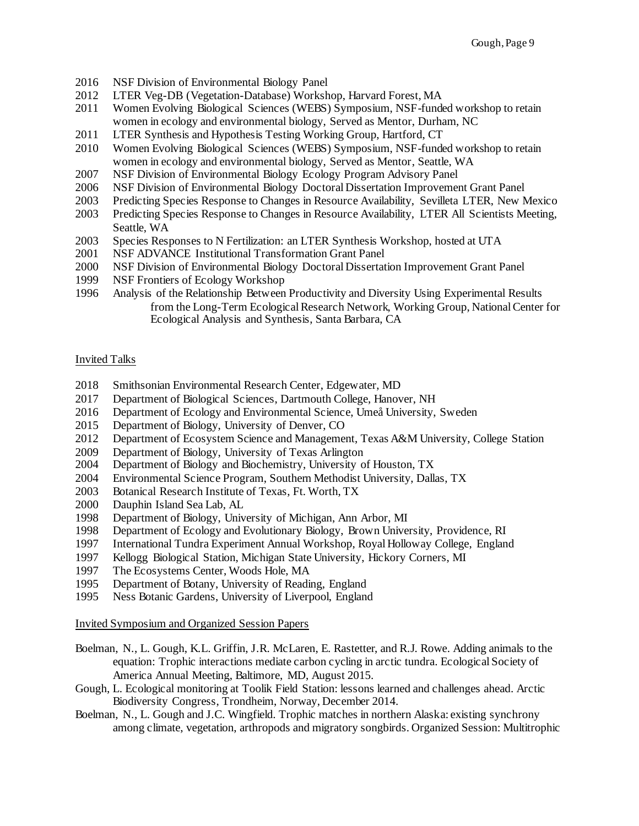- NSF Division of Environmental Biology Panel
- LTER Veg-DB (Vegetation-Database) Workshop, Harvard Forest, MA
- Women Evolving Biological Sciences (WEBS) Symposium, NSF-funded workshop to retain women in ecology and environmental biology, Served as Mentor, Durham, NC
- LTER Synthesis and Hypothesis Testing Working Group, Hartford, CT
- Women Evolving Biological Sciences (WEBS) Symposium, NSF-funded workshop to retain women in ecology and environmental biology, Served as Mentor, Seattle, WA
- NSF Division of Environmental Biology Ecology Program Advisory Panel
- NSF Division of Environmental Biology Doctoral Dissertation Improvement Grant Panel
- Predicting Species Response to Changes in Resource Availability, Sevilleta LTER, New Mexico
- Predicting Species Response to Changes in Resource Availability, LTER All Scientists Meeting, Seattle, WA
- Species Responses to N Fertilization: an LTER Synthesis Workshop, hosted at UTA
- NSF ADVANCE Institutional Transformation Grant Panel
- NSF Division of Environmental Biology Doctoral Dissertation Improvement Grant Panel
- NSF Frontiers of Ecology Workshop
- 1996 Analysis of the Relationship Between Productivity and Diversity Using Experimental Results from the Long-Term Ecological Research Network, Working Group, National Center for Ecological Analysis and Synthesis, Santa Barbara, CA

#### Invited Talks

- Smithsonian Environmental Research Center, Edgewater, MD
- Department of Biological Sciences, Dartmouth College, Hanover, NH
- Department of Ecology and Environmental Science, Umeå University, Sweden
- Department of Biology, University of Denver, CO
- Department of Ecosystem Science and Management, Texas A&M University, College Station
- Department of Biology, University of Texas Arlington
- Department of Biology and Biochemistry, University of Houston, TX
- Environmental Science Program, Southern Methodist University, Dallas, TX
- Botanical Research Institute of Texas, Ft. Worth, TX
- Dauphin Island Sea Lab, AL
- Department of Biology, University of Michigan, Ann Arbor, MI
- Department of Ecology and Evolutionary Biology, Brown University, Providence, RI
- International Tundra Experiment Annual Workshop, Royal Holloway College, England
- Kellogg Biological Station, Michigan State University, Hickory Corners, MI
- The Ecosystems Center, Woods Hole, MA
- Department of Botany, University of Reading, England
- Ness Botanic Gardens, University of Liverpool, England

Invited Symposium and Organized Session Papers

- Boelman, N., L. Gough, K.L. Griffin, J.R. McLaren, E. Rastetter, and R.J. Rowe. Adding animals to the equation: Trophic interactions mediate carbon cycling in arctic tundra. Ecological Society of America Annual Meeting, Baltimore, MD, August 2015.
- Gough, L. Ecological monitoring at Toolik Field Station: lessons learned and challenges ahead. Arctic Biodiversity Congress, Trondheim, Norway, December 2014.
- Boelman, N., L. Gough and J.C. Wingfield. Trophic matches in northern Alaska: existing synchrony among climate, vegetation, arthropods and migratory songbirds. Organized Session: Multitrophic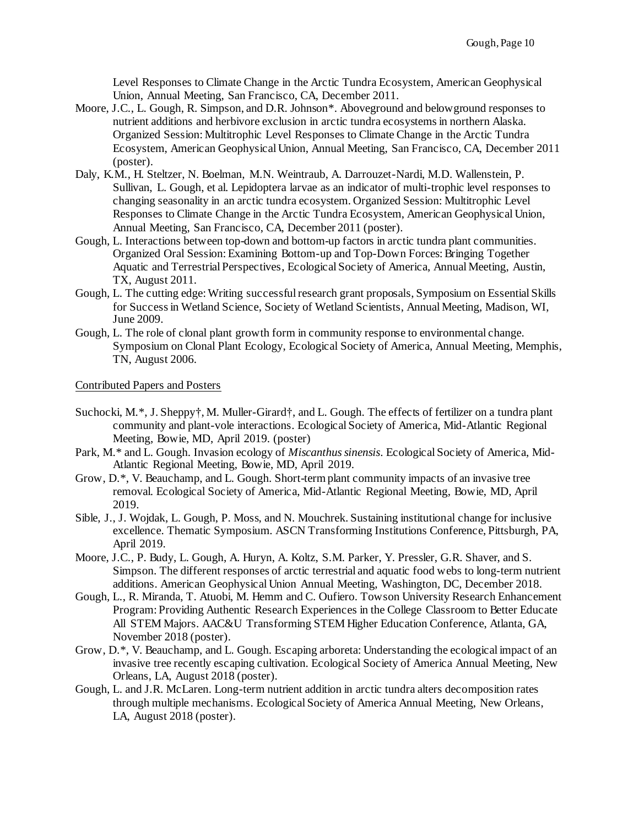Level Responses to Climate Change in the Arctic Tundra Ecosystem, American Geophysical Union, Annual Meeting, San Francisco, CA, December 2011.

- Moore, J.C., L. Gough, R. Simpson, and D.R. Johnson\*. Aboveground and belowground responses to nutrient additions and herbivore exclusion in arctic tundra ecosystems in northern Alaska. Organized Session: Multitrophic Level Responses to Climate Change in the Arctic Tundra Ecosystem, American Geophysical Union, Annual Meeting, San Francisco, CA, December 2011 (poster).
- Daly, K.M., H. Steltzer, N. Boelman, M.N. Weintraub, A. Darrouzet-Nardi, M.D. Wallenstein, P. Sullivan, L. Gough, et al. Lepidoptera larvae as an indicator of multi-trophic level responses to changing seasonality in an arctic tundra ecosystem. Organized Session: Multitrophic Level Responses to Climate Change in the Arctic Tundra Ecosystem, American Geophysical Union, Annual Meeting, San Francisco, CA, December 2011 (poster).
- Gough, L. Interactions between top-down and bottom-up factors in arctic tundra plant communities. Organized Oral Session: Examining Bottom-up and Top-Down Forces: Bringing Together Aquatic and Terrestrial Perspectives, Ecological Society of America, Annual Meeting, Austin, TX, August 2011.
- Gough, L. The cutting edge: Writing successful research grant proposals, Symposium on Essential Skills for Success in Wetland Science, Society of Wetland Scientists, Annual Meeting, Madison, WI, June 2009.
- Gough, L. The role of clonal plant growth form in community response to environmental change. Symposium on Clonal Plant Ecology, Ecological Society of America, Annual Meeting, Memphis, TN, August 2006.

Contributed Papers and Posters

- Suchocki, M.\*, J. Sheppy†, M. Muller-Girard†, and L. Gough. The effects of fertilizer on a tundra plant community and plant-vole interactions. Ecological Society of America, Mid-Atlantic Regional Meeting, Bowie, MD, April 2019. (poster)
- Park, M.\* and L. Gough. Invasion ecology of *Miscanthus sinensis*. Ecological Society of America, Mid-Atlantic Regional Meeting, Bowie, MD, April 2019.
- Grow, D.\*, V. Beauchamp, and L. Gough. Short-term plant community impacts of an invasive tree removal. Ecological Society of America, Mid-Atlantic Regional Meeting, Bowie, MD, April 2019.
- Sible, J., J. Wojdak, L. Gough, P. Moss, and N. Mouchrek. Sustaining institutional change for inclusive excellence. Thematic Symposium. ASCN Transforming Institutions Conference, Pittsburgh, PA, April 2019.
- Moore, J.C., P. Budy, L. Gough, A. Huryn, A. Koltz, S.M. Parker, Y. Pressler, G.R. Shaver, and S. Simpson. The different responses of arctic terrestrial and aquatic food webs to long-term nutrient additions. American Geophysical Union Annual Meeting, Washington, DC, December 2018.
- Gough, L., R. Miranda, T. Atuobi, M. Hemm and C. Oufiero. Towson University Research Enhancement Program: Providing Authentic Research Experiences in the College Classroom to Better Educate All STEM Majors. AAC&U Transforming STEM Higher Education Conference, Atlanta, GA, November 2018 (poster).
- Grow, D.\*, V. Beauchamp, and L. Gough. Escaping arboreta: Understanding the ecological impact of an invasive tree recently escaping cultivation. Ecological Society of America Annual Meeting, New Orleans, LA, August 2018 (poster).
- Gough, L. and J.R. McLaren. Long-term nutrient addition in arctic tundra alters decomposition rates through multiple mechanisms. Ecological Society of America Annual Meeting, New Orleans, LA, August 2018 (poster).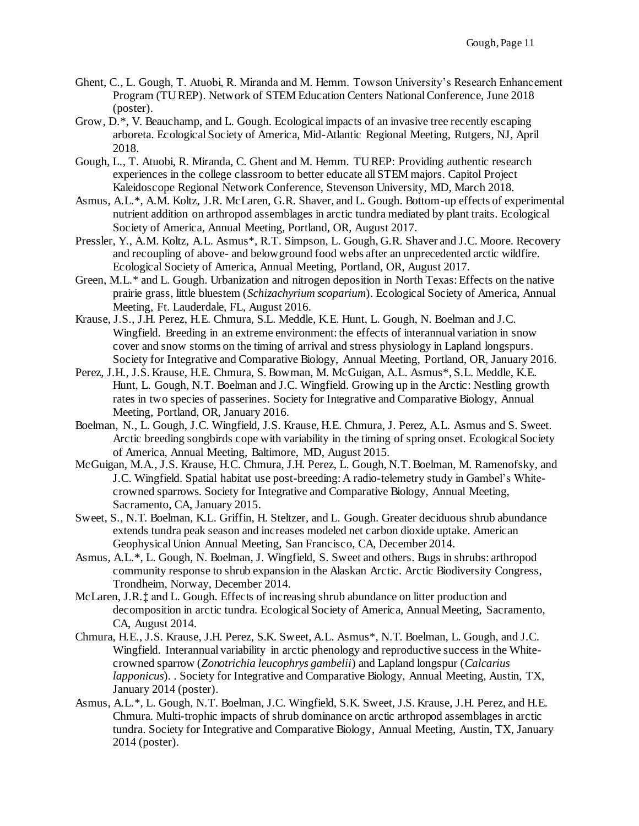- Ghent, C., L. Gough, T. Atuobi, R. Miranda and M. Hemm. Towson University's Research Enhancement Program (TU REP). Network of STEM Education Centers National Conference, June 2018 (poster).
- Grow, D.\*, V. Beauchamp, and L. Gough. Ecological impacts of an invasive tree recently escaping arboreta. Ecological Society of America, Mid-Atlantic Regional Meeting, Rutgers, NJ, April 2018.
- Gough, L., T. Atuobi, R. Miranda, C. Ghent and M. Hemm. TU REP: Providing authentic research experiences in the college classroom to better educate all STEM majors. Capitol Project Kaleidoscope Regional Network Conference, Stevenson University, MD, March 2018.
- Asmus, A.L.\*, A.M. Koltz, J.R. McLaren, G.R. Shaver, and L. Gough. Bottom-up effects of experimental nutrient addition on arthropod assemblages in arctic tundra mediated by plant traits. Ecological Society of America, Annual Meeting, Portland, OR, August 2017.
- Pressler, Y., A.M. Koltz, A.L. Asmus\*, R.T. Simpson, L. Gough, G.R. Shaver and J.C. Moore. Recovery and recoupling of above- and belowground food webs after an unprecedented arctic wildfire. Ecological Society of America, Annual Meeting, Portland, OR, August 2017.
- Green, M.L.\* and L. Gough. Urbanization and nitrogen deposition in North Texas: Effects on the native prairie grass, little bluestem (*Schizachyrium scoparium*). Ecological Society of America, Annual Meeting, Ft. Lauderdale, FL, August 2016.
- Krause, J.S., J.H. Perez, H.E. Chmura, S.L. Meddle, K.E. Hunt, L. Gough, N. Boelman and J.C. Wingfield. Breeding in an extreme environment: the effects of interannual variation in snow cover and snow storms on the timing of arrival and stress physiology in Lapland longspurs. Society for Integrative and Comparative Biology, Annual Meeting, Portland, OR, January 2016.
- Perez, J.H., J.S. Krause, H.E. Chmura, S. Bowman, M. McGuigan, A.L. Asmus\*, S.L. Meddle, K.E. Hunt, L. Gough, N.T. Boelman and J.C. Wingfield. Growing up in the Arctic: Nestling growth rates in two species of passerines. Society for Integrative and Comparative Biology, Annual Meeting, Portland, OR, January 2016.
- Boelman, N., L. Gough, J.C. Wingfield, J.S. Krause, H.E. Chmura, J. Perez, A.L. Asmus and S. Sweet. Arctic breeding songbirds cope with variability in the timing of spring onset. Ecological Society of America, Annual Meeting, Baltimore, MD, August 2015.
- McGuigan, M.A., J.S. Krause, H.C. Chmura, J.H. Perez, L. Gough, N.T. Boelman, M. Ramenofsky, and J.C. Wingfield. Spatial habitat use post-breeding: A radio-telemetry study in Gambel's Whitecrowned sparrows. Society for Integrative and Comparative Biology, Annual Meeting, Sacramento, CA, January 2015.
- Sweet, S., N.T. Boelman, K.L. Griffin, H. Steltzer, and L. Gough. Greater deciduous shrub abundance extends tundra peak season and increases modeled net carbon dioxide uptake. American Geophysical Union Annual Meeting, San Francisco, CA, December 2014.
- Asmus, A.L.\*, L. Gough, N. Boelman, J. Wingfield, S. Sweet and others. Bugs in shrubs: arthropod community response to shrub expansion in the Alaskan Arctic. Arctic Biodiversity Congress, Trondheim, Norway, December 2014.
- McLaren, J.R.‡ and L. Gough. Effects of increasing shrub abundance on litter production and decomposition in arctic tundra. Ecological Society of America, Annual Meeting, Sacramento, CA, August 2014.
- Chmura, H.E., J.S. Krause, J.H. Perez, S.K. Sweet, A.L. Asmus\*, N.T. Boelman, L. Gough, and J.C. Wingfield. Interannual variability in arctic phenology and reproductive success in the Whitecrowned sparrow (*Zonotrichia leucophrys gambelii*) and Lapland longspur (*Calcarius lapponicus*). . Society for Integrative and Comparative Biology, Annual Meeting, Austin, TX, January 2014 (poster).
- Asmus, A.L.\*, L. Gough, N.T. Boelman, J.C. Wingfield, S.K. Sweet, J.S. Krause, J.H. Perez, and H.E. Chmura. Multi-trophic impacts of shrub dominance on arctic arthropod assemblages in arctic tundra. Society for Integrative and Comparative Biology, Annual Meeting, Austin, TX, January 2014 (poster).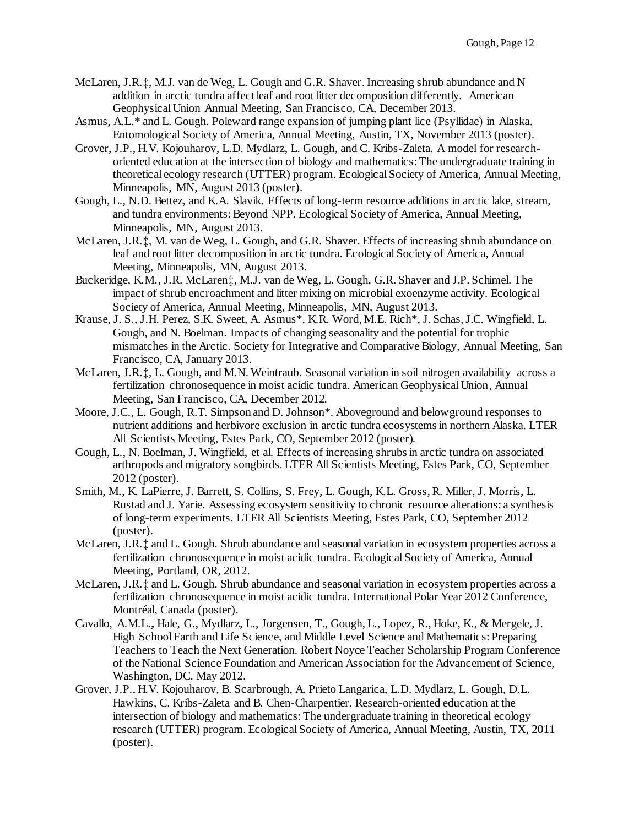- McLaren, J.R.‡, M.J. van de Weg, L. Gough and G.R. Shaver. Increasing shrub abundance and N addition in arctic tundra affect leaf and root litter decomposition differently. American Geophysical Union Annual Meeting, San Francisco, CA, December 2013.
- Asmus, A.L.\* and L. Gough. Poleward range expansion of jumping plant lice (Psyllidae) in Alaska. Entomological Society of America, Annual Meeting, Austin, TX, November 2013 (poster).
- Grover, J.P., H.V. Kojouharov, L.D. Mydlarz, L. Gough, and C. Kribs-Zaleta. A model for researchoriented education at the intersection of biology and mathematics: The undergraduate training in theoretical ecology research (UTTER) program. Ecological Society of America, Annual Meeting, Minneapolis, MN, August 2013 (poster).
- Gough, L., N.D. Bettez, and K.A. Slavik. Effects of long-term resource additions in arctic lake, stream, and tundra environments: Beyond NPP. Ecological Society of America, Annual Meeting, Minneapolis, MN, August 2013.
- McLaren, J.R.‡, M. van de Weg, L. Gough, and G.R. Shaver. Effects of increasing shrub abundance on leaf and root litter decomposition in arctic tundra. Ecological Society of America, Annual Meeting, Minneapolis, MN, August 2013.
- Buckeridge, K.M., J.R. McLaren‡, M.J. van de Weg, L. Gough, G.R. Shaver and J.P. Schimel. The impact of shrub encroachment and litter mixing on microbial exoenzyme activity. Ecological Society of America, Annual Meeting, Minneapolis, MN, August 2013.
- Krause, J. S., J.H. Perez, S.K. Sweet, A. Asmus\*, K.R. Word, M.E. Rich\*, J. Schas, J.C. Wingfield, L. Gough, and N. Boelman. Impacts of changing seasonality and the potential for trophic mismatches in the Arctic. Society for Integrative and Comparative Biology, Annual Meeting, San Francisco, CA, January 2013.
- McLaren, J.R.‡, L. Gough, and M.N. Weintraub. Seasonal variation in soil nitrogen availability across a fertilization chronosequence in moist acidic tundra. American Geophysical Union, Annual Meeting, San Francisco, CA, December 2012.
- Moore, J.C., L. Gough, R.T. Simpson and D. Johnson\*. Aboveground and belowground responses to nutrient additions and herbivore exclusion in arctic tundra ecosystems in northern Alaska. LTER All Scientists Meeting, Estes Park, CO, September 2012 (poster).
- Gough, L., N. Boelman, J. Wingfield, et al. Effects of increasing shrubs in arctic tundra on associated arthropods and migratory songbirds. LTER All Scientists Meeting, Estes Park, CO, September 2012 (poster).
- Smith, M., K. LaPierre, J. Barrett, S. Collins, S. Frey, L. Gough, K.L. Gross, R. Miller, J. Morris, L. Rustad and J. Yarie. Assessing ecosystem sensitivity to chronic resource alterations: a synthesis of long-term experiments. LTER All Scientists Meeting, Estes Park, CO, September 2012 (poster).
- McLaren, J.R.‡ and L. Gough. Shrub abundance and seasonal variation in ecosystem properties across a fertilization chronosequence in moist acidic tundra. Ecological Society of America, Annual Meeting, Portland, OR, 2012.
- McLaren, J.R.‡ and L. Gough. Shrub abundance and seasonal variation in ecosystem properties across a fertilization chronosequence in moist acidic tundra. International Polar Year 2012 Conference, Montréal, Canada (poster).
- Cavallo, A.M.L.**,** Hale, G., Mydlarz, L., Jorgensen, T., Gough, L., Lopez, R., Hoke, K., & Mergele, J. High School Earth and Life Science, and Middle Level Science and Mathematics: Preparing Teachers to Teach the Next Generation. Robert Noyce Teacher Scholarship Program Conference of the National Science Foundation and American Association for the Advancement of Science, Washington, DC. May 2012.
- Grover, J.P., H.V. Kojouharov, B. Scarbrough, A. Prieto Langarica, L.D. Mydlarz, L. Gough, D.L. Hawkins, C. Kribs-Zaleta and B. Chen-Charpentier. Research-oriented education at the intersection of biology and mathematics: The undergraduate training in theoretical ecology research (UTTER) program. Ecological Society of America, Annual Meeting, Austin, TX, 2011 (poster).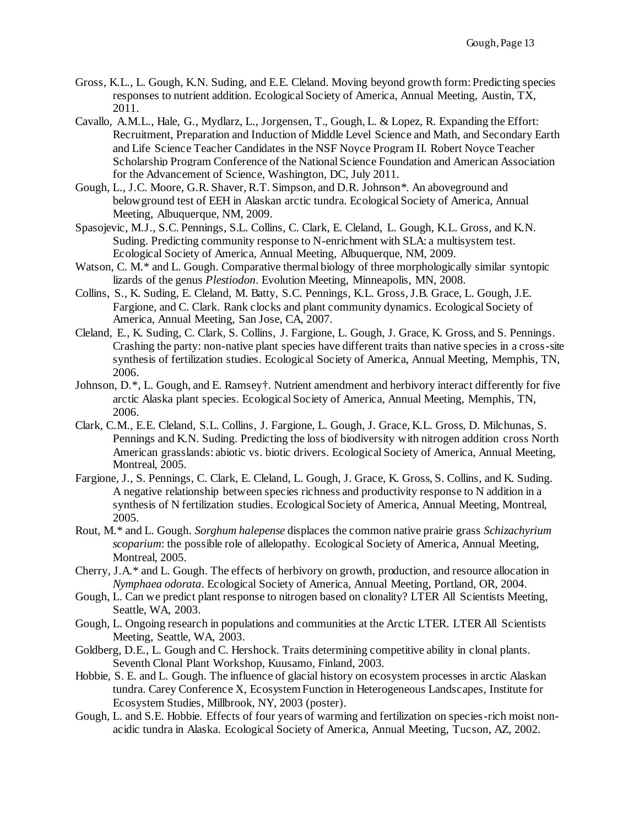- Gross, K.L., L. Gough, K.N. Suding, and E.E. Cleland. Moving beyond growth form: Predicting species responses to nutrient addition. Ecological Society of America, Annual Meeting, Austin, TX, 2011.
- Cavallo, A.M.L., Hale, G., Mydlarz, L., Jorgensen, T., Gough, L. & Lopez, R. Expanding the Effort: Recruitment, Preparation and Induction of Middle Level Science and Math, and Secondary Earth and Life Science Teacher Candidates in the NSF Noyce Program II. Robert Noyce Teacher Scholarship Program Conference of the National Science Foundation and American Association for the Advancement of Science, Washington, DC, July 2011.
- Gough, L., J.C. Moore, G.R. Shaver, R.T. Simpson, and D.R. Johnson\*. An aboveground and belowground test of EEH in Alaskan arctic tundra. Ecological Society of America, Annual Meeting, Albuquerque, NM, 2009.
- Spasojevic, M.J., S.C. Pennings, S.L. Collins, C. Clark, E. Cleland, L. Gough, K.L. Gross, and K.N. Suding. Predicting community response to N-enrichment with SLA: a multisystem test. Ecological Society of America, Annual Meeting, Albuquerque, NM, 2009.
- Watson, C. M.<sup>\*</sup> and L. Gough. Comparative thermal biology of three morphologically similar syntopic lizards of the genus *Plestiodon*. Evolution Meeting, Minneapolis, MN, 2008.
- Collins, S., K. Suding, E. Cleland, M. Batty, S.C. Pennings, K.L. Gross, J.B. Grace, L. Gough, J.E. Fargione, and C. Clark. Rank clocks and plant community dynamics. Ecological Society of America, Annual Meeting, San Jose, CA, 2007.
- Cleland, E., K. Suding, C. Clark, S. Collins, J. Fargione, L. Gough, J. Grace, K. Gross, and S. Pennings. Crashing the party: non-native plant species have different traits than native species in a cross-site synthesis of fertilization studies. Ecological Society of America, Annual Meeting, Memphis, TN, 2006.
- Johnson, D.\*, L. Gough, and E. Ramsey†. Nutrient amendment and herbivory interact differently for five arctic Alaska plant species. Ecological Society of America, Annual Meeting, Memphis, TN, 2006.
- Clark, C.M., E.E. Cleland, S.L. Collins, J. Fargione, L. Gough, J. Grace, K.L. Gross, D. Milchunas, S. Pennings and K.N. Suding. Predicting the loss of biodiversity with nitrogen addition cross North American grasslands: abiotic vs. biotic drivers. Ecological Society of America, Annual Meeting, Montreal, 2005.
- Fargione, J., S. Pennings, C. Clark, E. Cleland, L. Gough, J. Grace, K. Gross, S. Collins, and K. Suding. A negative relationship between species richness and productivity response to N addition in a synthesis of N fertilization studies. Ecological Society of America, Annual Meeting, Montreal, 2005.
- Rout, M.\* and L. Gough. *Sorghum halepense* displaces the common native prairie grass *Schizachyrium scoparium*: the possible role of allelopathy. Ecological Society of America, Annual Meeting, Montreal, 2005.
- Cherry, J.A.\* and L. Gough. The effects of herbivory on growth, production, and resource allocation in *Nymphaea odorata*. Ecological Society of America, Annual Meeting, Portland, OR, 2004.
- Gough, L. Can we predict plant response to nitrogen based on clonality? LTER All Scientists Meeting, Seattle, WA, 2003.
- Gough, L. Ongoing research in populations and communities at the Arctic LTER. LTER All Scientists Meeting, Seattle, WA, 2003.
- Goldberg, D.E., L. Gough and C. Hershock. Traits determining competitive ability in clonal plants. Seventh Clonal Plant Workshop, Kuusamo, Finland, 2003.
- Hobbie, S. E. and L. Gough. The influence of glacial history on ecosystem processes in arctic Alaskan tundra. Carey Conference X, Ecosystem Function in Heterogeneous Landscapes, Institute for Ecosystem Studies, Millbrook, NY, 2003 (poster).
- Gough, L. and S.E. Hobbie. Effects of four years of warming and fertilization on species-rich moist nonacidic tundra in Alaska. Ecological Society of America, Annual Meeting, Tucson, AZ, 2002.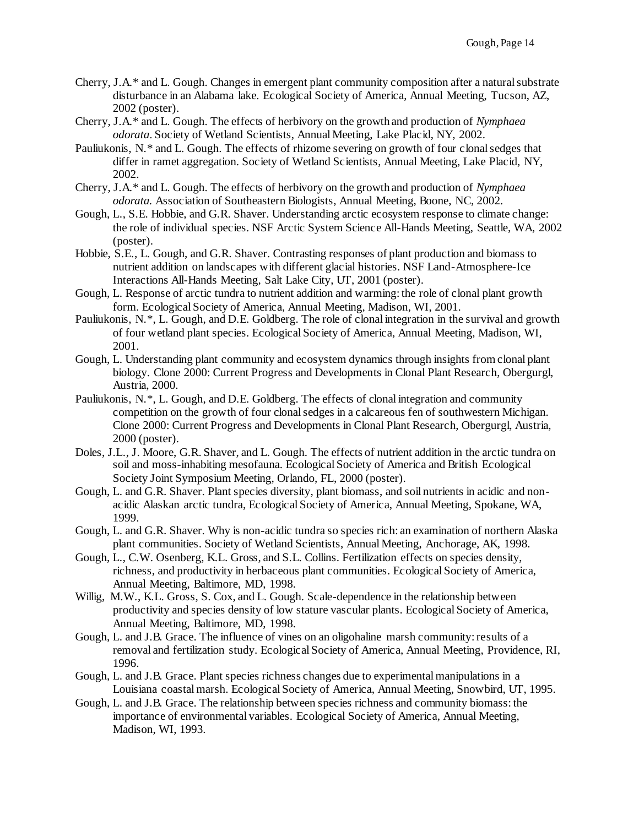- Cherry, J.A.\* and L. Gough. Changes in emergent plant community composition after a natural substrate disturbance in an Alabama lake. Ecological Society of America, Annual Meeting, Tucson, AZ, 2002 (poster).
- Cherry, J.A.\* and L. Gough. The effects of herbivory on the growth and production of *Nymphaea odorata*. Society of Wetland Scientists, Annual Meeting, Lake Placid, NY, 2002.
- Pauliukonis, N.\* and L. Gough. The effects of rhizome severing on growth of four clonal sedges that differ in ramet aggregation. Society of Wetland Scientists, Annual Meeting, Lake Placid, NY, 2002.
- Cherry, J.A.\* and L. Gough. The effects of herbivory on the growth and production of *Nymphaea odorata.* Association of Southeastern Biologists, Annual Meeting, Boone, NC, 2002.
- Gough, L., S.E. Hobbie, and G.R. Shaver. Understanding arctic ecosystem response to climate change: the role of individual species. NSF Arctic System Science All-Hands Meeting, Seattle, WA, 2002 (poster).
- Hobbie, S.E., L. Gough, and G.R. Shaver. Contrasting responses of plant production and biomass to nutrient addition on landscapes with different glacial histories. NSF Land-Atmosphere-Ice Interactions All-Hands Meeting, Salt Lake City, UT, 2001 (poster).
- Gough, L. Response of arctic tundra to nutrient addition and warming: the role of clonal plant growth form. Ecological Society of America, Annual Meeting, Madison, WI, 2001.
- Pauliukonis, N.\*, L. Gough, and D.E. Goldberg. The role of clonal integration in the survival and growth of four wetland plant species. Ecological Society of America, Annual Meeting, Madison, WI, 2001.
- Gough, L. Understanding plant community and ecosystem dynamics through insights from clonal plant biology. Clone 2000: Current Progress and Developments in Clonal Plant Research, Obergurgl, Austria, 2000.
- Pauliukonis, N.\*, L. Gough, and D.E. Goldberg. The effects of clonal integration and community competition on the growth of four clonal sedges in a calcareous fen of southwestern Michigan. Clone 2000: Current Progress and Developments in Clonal Plant Research, Obergurgl, Austria, 2000 (poster).
- Doles, J.L., J. Moore, G.R. Shaver, and L. Gough. The effects of nutrient addition in the arctic tundra on soil and moss-inhabiting mesofauna. Ecological Society of America and British Ecological Society Joint Symposium Meeting, Orlando, FL, 2000 (poster).
- Gough, L. and G.R. Shaver. Plant species diversity, plant biomass, and soil nutrients in acidic and nonacidic Alaskan arctic tundra, Ecological Society of America, Annual Meeting, Spokane, WA, 1999.
- Gough, L. and G.R. Shaver. Why is non-acidic tundra so species rich: an examination of northern Alaska plant communities. Society of Wetland Scientists, Annual Meeting, Anchorage, AK, 1998.
- Gough, L., C.W. Osenberg, K.L. Gross, and S.L. Collins. Fertilization effects on species density, richness, and productivity in herbaceous plant communities. Ecological Society of America, Annual Meeting, Baltimore, MD, 1998.
- Willig, M.W., K.L. Gross, S. Cox, and L. Gough. Scale-dependence in the relationship between productivity and species density of low stature vascular plants. Ecological Society of America, Annual Meeting, Baltimore, MD, 1998.
- Gough, L. and J.B. Grace. The influence of vines on an oligohaline marsh community: results of a removal and fertilization study. Ecological Society of America, Annual Meeting, Providence, RI, 1996.
- Gough, L. and J.B. Grace. Plant species richness changes due to experimental manipulations in a Louisiana coastal marsh. Ecological Society of America, Annual Meeting, Snowbird, UT, 1995.
- Gough, L. and J.B. Grace. The relationship between species richness and community biomass: the importance of environmental variables. Ecological Society of America, Annual Meeting, Madison, WI, 1993.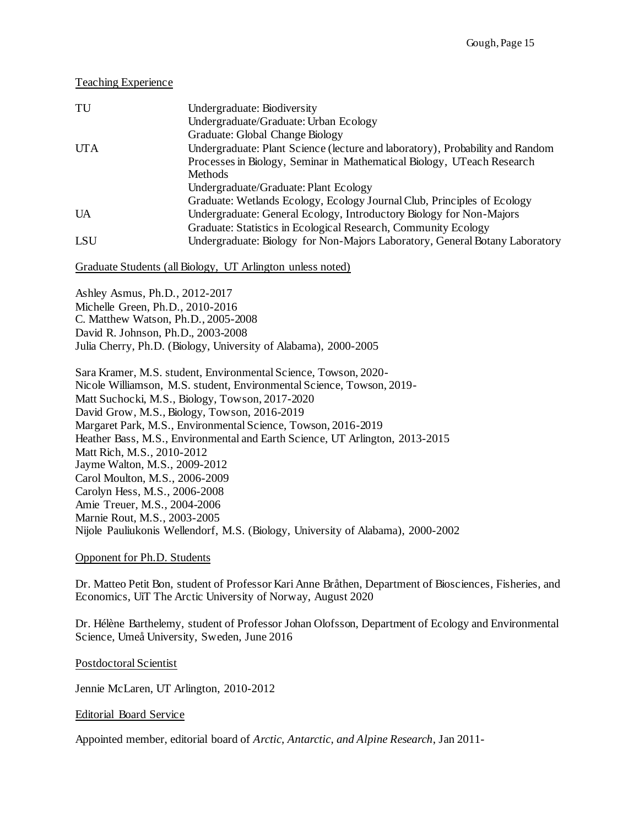## Teaching Experience

| TU         | Undergraduate: Biodiversity                                                   |
|------------|-------------------------------------------------------------------------------|
|            | Undergraduate/Graduate: Urban Ecology                                         |
|            | Graduate: Global Change Biology                                               |
| <b>UTA</b> | Undergraduate: Plant Science (lecture and laboratory), Probability and Random |
|            | Processes in Biology, Seminar in Mathematical Biology, UTeach Research        |
|            | <b>Methods</b>                                                                |
|            | Undergraduate/Graduate: Plant Ecology                                         |
|            | Graduate: Wetlands Ecology, Ecology Journal Club, Principles of Ecology       |
| <b>UA</b>  | Undergraduate: General Ecology, Introductory Biology for Non-Majors           |
|            | Graduate: Statistics in Ecological Research, Community Ecology                |
| <b>LSU</b> | Undergraduate: Biology for Non-Majors Laboratory, General Botany Laboratory   |

#### Graduate Students (all Biology, UT Arlington unless noted)

Ashley Asmus, Ph.D., 2012-2017 Michelle Green, Ph.D., 2010-2016 C. Matthew Watson, Ph.D., 2005-2008 David R. Johnson, Ph.D., 2003-2008 Julia Cherry, Ph.D. (Biology, University of Alabama), 2000-2005

Sara Kramer, M.S. student, Environmental Science, Towson, 2020- Nicole Williamson, M.S. student, Environmental Science, Towson, 2019- Matt Suchocki, M.S., Biology, Towson, 2017-2020 David Grow, M.S., Biology, Towson, 2016-2019 Margaret Park, M.S., Environmental Science, Towson, 2016-2019 Heather Bass, M.S., Environmental and Earth Science, UT Arlington, 2013-2015 Matt Rich, M.S., 2010-2012 Jayme Walton, M.S., 2009-2012 Carol Moulton, M.S., 2006-2009 Carolyn Hess, M.S., 2006-2008 Amie Treuer, M.S., 2004-2006 Marnie Rout, M.S., 2003-2005 Nijole Pauliukonis Wellendorf, M.S. (Biology, University of Alabama), 2000-2002

### Opponent for Ph.D. Students

Dr. Matteo Petit Bon, student of Professor Kari Anne Bråthen, Department of Biosciences, Fisheries, and Economics, UiT The Arctic University of Norway, August 2020

Dr. Hélène Barthelemy, student of Professor Johan Olofsson, Department of Ecology and Environmental Science, Umeå University, Sweden, June 2016

#### Postdoctoral Scientist

Jennie McLaren, UT Arlington, 2010-2012

#### Editorial Board Service

Appointed member, editorial board of *Arctic, Antarctic, and Alpine Research*, Jan 2011-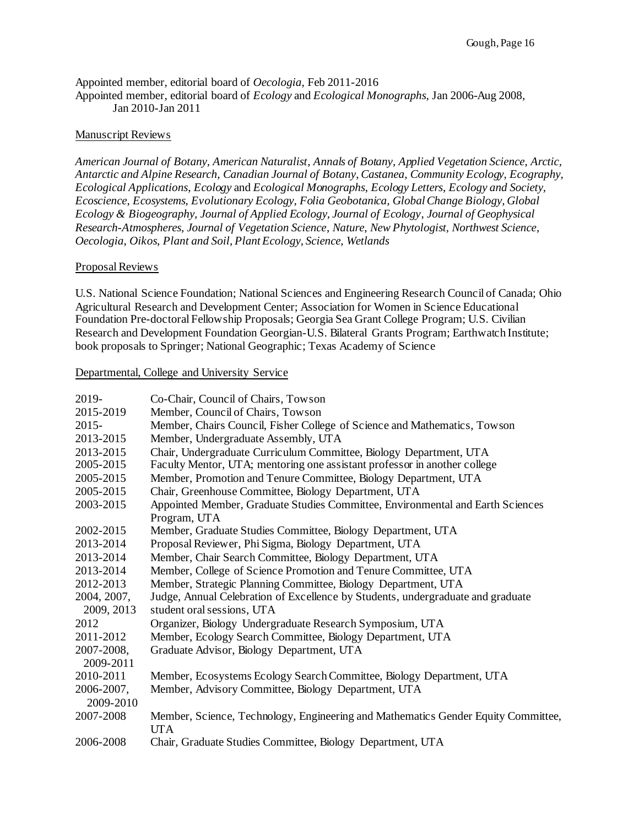#### Appointed member, editorial board of *Oecologia*, Feb 2011-2016 Appointed member, editorial board of *Ecology* and *Ecological Monographs*, Jan 2006-Aug 2008, Jan 2010-Jan 2011

# Manuscript Reviews

*American Journal of Botany, American Naturalist*, *Annals of Botany*, *Applied Vegetation Science*, *Arctic, Antarctic and Alpine Research*, *Canadian Journal of Botany*, *Castanea*, *Community Ecology, Ecography, Ecological Applications*, *Ecology* and *Ecological Monographs*, *Ecology Letters*, *Ecology and Society, Ecoscience*, *Ecosystems, Evolutionary Ecology, Folia Geobotanica, Global Change Biology, Global Ecology & Biogeography, Journal of Applied Ecology, Journal of Ecology*, *Journal of Geophysical Research-Atmospheres, Journal of Vegetation Science*, *Nature*, *New Phytologist, Northwest Science*, *Oecologia*, *Oikos*, *Plant and Soil, Plant Ecology, Science, Wetlands*

# Proposal Reviews

U.S. National Science Foundation; National Sciences and Engineering Research Council of Canada; Ohio Agricultural Research and Development Center; Association for Women in Science Educational Foundation Pre-doctoral Fellowship Proposals; Georgia Sea Grant College Program; U.S. Civilian Research and Development Foundation Georgian-U.S. Bilateral Grants Program; Earthwatch Institute; book proposals to Springer; National Geographic; Texas Academy of Science

# Departmental, College and University Service

| 2019-       | Co-Chair, Council of Chairs, Towson                                               |
|-------------|-----------------------------------------------------------------------------------|
| 2015-2019   | Member, Council of Chairs, Towson                                                 |
| $2015 -$    | Member, Chairs Council, Fisher College of Science and Mathematics, Towson         |
| 2013-2015   | Member, Undergraduate Assembly, UTA                                               |
| 2013-2015   | Chair, Undergraduate Curriculum Committee, Biology Department, UTA                |
| 2005-2015   | Faculty Mentor, UTA; mentoring one assistant professor in another college         |
| 2005-2015   | Member, Promotion and Tenure Committee, Biology Department, UTA                   |
| 2005-2015   | Chair, Greenhouse Committee, Biology Department, UTA                              |
| 2003-2015   | Appointed Member, Graduate Studies Committee, Environmental and Earth Sciences    |
|             | Program, UTA                                                                      |
| 2002-2015   | Member, Graduate Studies Committee, Biology Department, UTA                       |
| 2013-2014   | Proposal Reviewer, Phi Sigma, Biology Department, UTA                             |
| 2013-2014   | Member, Chair Search Committee, Biology Department, UTA                           |
| 2013-2014   | Member, College of Science Promotion and Tenure Committee, UTA                    |
| 2012-2013   | Member, Strategic Planning Committee, Biology Department, UTA                     |
| 2004, 2007, | Judge, Annual Celebration of Excellence by Students, undergraduate and graduate   |
| 2009, 2013  | student oral sessions, UTA                                                        |
| 2012        | Organizer, Biology Undergraduate Research Symposium, UTA                          |
| 2011-2012   | Member, Ecology Search Committee, Biology Department, UTA                         |
| 2007-2008,  | Graduate Advisor, Biology Department, UTA                                         |
| 2009-2011   |                                                                                   |
| 2010-2011   | Member, Ecosystems Ecology Search Committee, Biology Department, UTA              |
| 2006-2007,  | Member, Advisory Committee, Biology Department, UTA                               |
| 2009-2010   |                                                                                   |
| 2007-2008   | Member, Science, Technology, Engineering and Mathematics Gender Equity Committee, |
|             | <b>UTA</b>                                                                        |
| 2006-2008   | Chair, Graduate Studies Committee, Biology Department, UTA                        |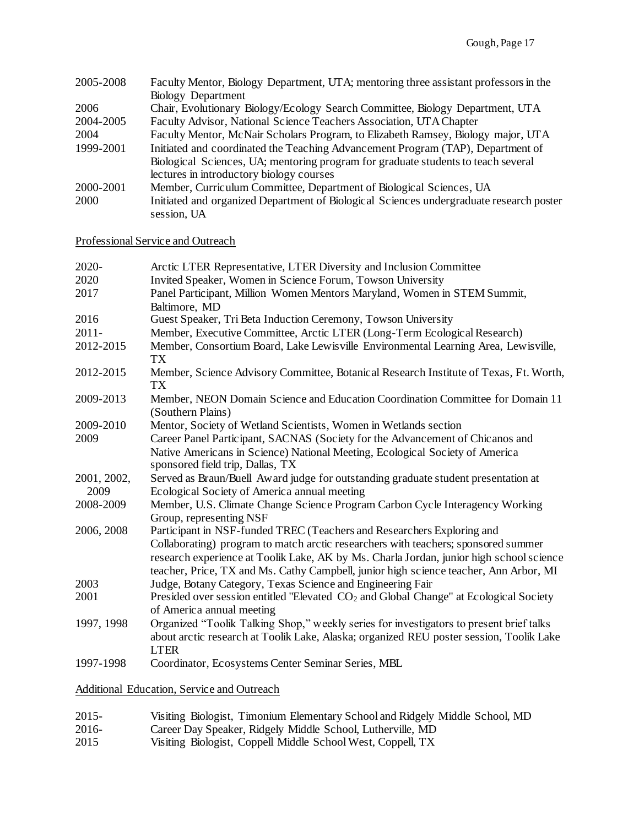| 2005-2008 | Faculty Mentor, Biology Department, UTA; mentoring three assistant professors in the    |
|-----------|-----------------------------------------------------------------------------------------|
|           | Biology Department                                                                      |
| 2006      | Chair, Evolutionary Biology/Ecology Search Committee, Biology Department, UTA           |
| 2004-2005 | Faculty Advisor, National Science Teachers Association, UTA Chapter                     |
| 2004      | Faculty Mentor, McNair Scholars Program, to Elizabeth Ramsey, Biology major, UTA        |
| 1999-2001 | Initiated and coordinated the Teaching Advancement Program (TAP), Department of         |
|           | Biological Sciences, UA; mentoring program for graduate students to teach several       |
|           | lectures in introductory biology courses                                                |
| 2000-2001 | Member, Curriculum Committee, Department of Biological Sciences, UA                     |
| 2000      | Initiated and organized Department of Biological Sciences undergraduate research poster |
|           | session, UA                                                                             |

Professional Service and Outreach

| 2020-       | Arctic LTER Representative, LTER Diversity and Inclusion Committee                                                                                                                                                                                                     |
|-------------|------------------------------------------------------------------------------------------------------------------------------------------------------------------------------------------------------------------------------------------------------------------------|
| 2020        | Invited Speaker, Women in Science Forum, Towson University                                                                                                                                                                                                             |
| 2017        | Panel Participant, Million Women Mentors Maryland, Women in STEM Summit,<br>Baltimore, MD                                                                                                                                                                              |
| 2016        | Guest Speaker, Tri Beta Induction Ceremony, Towson University                                                                                                                                                                                                          |
| $2011 -$    | Member, Executive Committee, Arctic LTER (Long-Term Ecological Research)                                                                                                                                                                                               |
| 2012-2015   | Member, Consortium Board, Lake Lewisville Environmental Learning Area, Lewisville,                                                                                                                                                                                     |
|             | TX                                                                                                                                                                                                                                                                     |
| 2012-2015   | Member, Science Advisory Committee, Botanical Research Institute of Texas, Ft. Worth,<br>TX                                                                                                                                                                            |
| 2009-2013   | Member, NEON Domain Science and Education Coordination Committee for Domain 11<br>(Southern Plains)                                                                                                                                                                    |
| 2009-2010   | Mentor, Society of Wetland Scientists, Women in Wetlands section                                                                                                                                                                                                       |
| 2009        | Career Panel Participant, SACNAS (Society for the Advancement of Chicanos and                                                                                                                                                                                          |
|             | Native Americans in Science) National Meeting, Ecological Society of America<br>sponsored field trip, Dallas, TX                                                                                                                                                       |
| 2001, 2002, | Served as Braun/Buell Award judge for outstanding graduate student presentation at                                                                                                                                                                                     |
| 2009        | Ecological Society of America annual meeting                                                                                                                                                                                                                           |
| 2008-2009   | Member, U.S. Climate Change Science Program Carbon Cycle Interagency Working<br>Group, representing NSF                                                                                                                                                                |
| 2006, 2008  | Participant in NSF-funded TREC (Teachers and Researchers Exploring and                                                                                                                                                                                                 |
|             | Collaborating) program to match arctic researchers with teachers; sponsored summer<br>research experience at Toolik Lake, AK by Ms. Charla Jordan, junior high school science<br>teacher, Price, TX and Ms. Cathy Campbell, junior high science teacher, Ann Arbor, MI |
| 2003        | Judge, Botany Category, Texas Science and Engineering Fair                                                                                                                                                                                                             |
| 2001        | Presided over session entitled "Elevated CO <sub>2</sub> and Global Change" at Ecological Society                                                                                                                                                                      |
|             | of America annual meeting                                                                                                                                                                                                                                              |
| 1997, 1998  | Organized "Toolik Talking Shop," weekly series for investigators to present brief talks<br>about arctic research at Toolik Lake, Alaska; organized REU poster session, Toolik Lake<br><b>LTER</b>                                                                      |
| 1997-1998   | Coordinator, Ecosystems Center Seminar Series, MBL                                                                                                                                                                                                                     |

Additional Education, Service and Outreach

- 2015- Visiting Biologist, Timonium Elementary School and Ridgely Middle School, MD<br>2016- Career Day Speaker, Ridgely Middle School, Lutherville, MD
- 2016- Career Day Speaker, Ridgely Middle School, Lutherville, MD<br>2015 Visiting Biologist, Coppell Middle School West, Coppell, TX
- Visiting Biologist, Coppell Middle School West, Coppell, TX